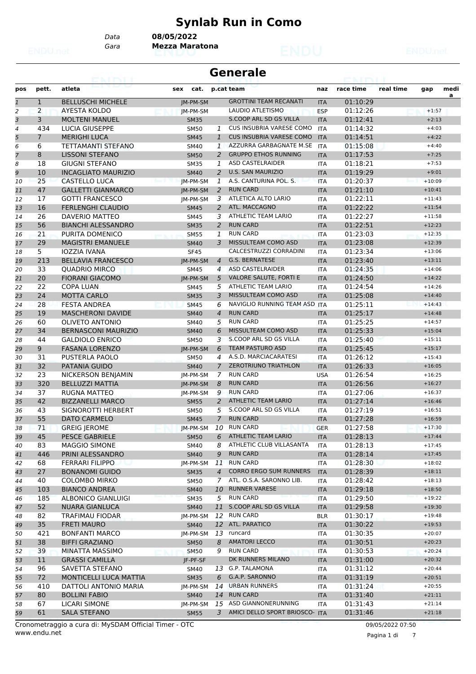# **Synlab Run in Como**

*Data* **08/05/2022**

*Gara* **Mezza Maratona**

|                | <b>Generale</b><br>za Linki |                            |             |                |                                 |            |           |           |                      |           |  |
|----------------|-----------------------------|----------------------------|-------------|----------------|---------------------------------|------------|-----------|-----------|----------------------|-----------|--|
| pos            | pett.                       | atleta                     | sex<br>cat. |                | p.cat team                      | naz        | race time | real time | gap                  | medi<br>a |  |
| $\mathbf{1}$   | $\mathbf{1}$                | <b>BELLUSCHI MICHELE</b>   | JM-PM-SM    |                | <b>GROTTINI TEAM RECANATI</b>   | <b>ITA</b> | 01:10:29  |           |                      |           |  |
| $\overline{c}$ | $\overline{2}$              | <b>AYESTA KOLDO</b>        | IM-PM-SM    |                | LAUDIO ATLETISMO                | <b>ESP</b> | 01:12:26  |           | $+1:57$              |           |  |
| 3              | 3                           | <b>MOLTENI MANUEL</b>      | <b>SM35</b> |                | S.COOP ARL SD GS VILLA          | <b>ITA</b> | 01:12:41  |           | $+2:13$              |           |  |
| $\overline{4}$ | 434                         | <b>LUCIA GIUSEPPE</b>      | <b>SM50</b> | $\mathcal{I}$  | <b>CUS INSUBRIA VARESE COMO</b> | <b>ITA</b> | 01:14:32  |           | $+4:03$              |           |  |
| 5              | $\overline{7}$              | <b>MERIGHI LUCA</b>        | <b>SM45</b> | 1              | <b>CUS INSUBRIA VARESE COMO</b> | <b>ITA</b> | 01:14:51  |           | $+4:22$              |           |  |
| 6              | 6                           | TETTAMANTI STEFANO         | <b>SM40</b> | $\mathcal{I}$  | AZZURRA GARBAGNATE M.SE         | <b>ITA</b> | 01:15:08  |           | $+4:40$              |           |  |
| 7              | 8                           | <b>LISSONI STEFANO</b>     | <b>SM50</b> | 2              | <b>GRUPPO ETHOS RUNNING</b>     | <b>ITA</b> | 01:17:53  |           | $+7:25$              |           |  |
| 8              | 18                          | <b>GIUGNI STEFANO</b>      | <b>SM35</b> | 1              | <b>ASD CASTELRAIDER</b>         | <b>ITA</b> | 01:18:21  |           | $+7:53$              |           |  |
| 9              | 10                          | <b>INCAGLIATO MAURIZIO</b> | <b>SM40</b> | 2              | <b>U.S. SAN MAURIZIO</b>        | <b>ITA</b> | 01:19:29  |           | $+9:01$              |           |  |
| 10             | 25                          | CASTELLO LUCA              | JM-PM-SM    | 1              | A.S. CANTURINA POL. S.          | <b>ITA</b> | 01:20:37  |           | $+10:09$             |           |  |
| 11             | 47                          | <b>GALLETTI GIANMARCO</b>  | JM-PM-SM    | 2              | <b>RUN CARD</b>                 | <b>ITA</b> | 01:21:10  |           | $+10:41$             |           |  |
| 12             | 17                          | <b>GOTTI FRANCESCO</b>     | JM-PM-SM    | 3              | ATLETICA ALTO LARIO             | <b>ITA</b> | 01:22:11  |           | $+11:43$             |           |  |
| 13             | 16                          | <b>FERLENGHI CLAUDIO</b>   | <b>SM45</b> | $\overline{a}$ | ATL. MACCAGNO                   | <b>ITA</b> | 01:22:22  |           | $+11:54$             |           |  |
| 14             | 26                          | DAVERIO MATTEO             | <b>SM45</b> | 3              | <b>ATHLETIC TEAM LARIO</b>      | <b>ITA</b> | 01:22:27  |           | $+11:58$             |           |  |
| 15             | 56                          | <b>BIANCHI ALESSANDRO</b>  | <b>SM35</b> | 2              | <b>RUN CARD</b>                 | <b>ITA</b> | 01:22:51  |           | $+12:23$             |           |  |
| 16             | 21                          | PURITA DOMENICO            | <b>SM55</b> | 1              | <b>RUN CARD</b>                 | <b>ITA</b> | 01:23:03  |           | $+12:35$             |           |  |
| 17             | 29                          | <b>MAGISTRI EMANUELE</b>   | <b>SM40</b> | 3              | MISSULTEAM COMO ASD             | <b>ITA</b> | 01:23:08  |           | $+12:39$             |           |  |
| 18             | 5                           | IOZZIA IVANA               | <b>SF45</b> |                | CALCESTRUZZI CORRADINI          | <b>ITA</b> | 01:23:34  |           | $+13:06$             |           |  |
| 19             | 213                         | <b>BELLAVIA FRANCESCO</b>  | JM-PM-SM    | $\overline{4}$ | G.S. BERNATESE                  | <b>ITA</b> | 01:23:40  |           | $+13:11$             |           |  |
| 20             | 33                          | <b>OUADRIO MIRCO</b>       | <b>SM45</b> | $\overline{4}$ | <b>ASD CASTELRAIDER</b>         | <b>ITA</b> | 01:24:35  |           | $+14:06$             |           |  |
| 21             | 20                          | <b>FIORANI GIACOMO</b>     | JM-PM-SM    | 5              | VALORE SALUTE, FORTI E          | <b>ITA</b> | 01:24:50  |           | $+14:22$             |           |  |
| 22             | 22                          | <b>COPA LUAN</b>           | SM45        | 5              | <b>ATHLETIC TEAM LARIO</b>      | <b>ITA</b> | 01:24:54  |           | $+14:26$             |           |  |
| 23             | 24                          | <b>MOTTA CARLO</b>         | <b>SM35</b> | 3              | MISSULTEAM COMO ASD             | <b>ITA</b> | 01:25:08  |           | $+14:40$             |           |  |
| 24             | 28                          | <b>FESTA ANDREA</b>        | <b>SM45</b> | 6              | NAVIGLIO RUNNING TEAM ASD ITA   |            | 01:25:11  |           | $+14:43$             |           |  |
| 25             | 19                          | <b>MASCHERONI DAVIDE</b>   | <b>SM40</b> | $\overline{4}$ | <b>RUN CARD</b>                 | <b>ITA</b> | 01:25:17  |           | $+14:48$             |           |  |
|                | 60                          | <b>OLIVETO ANTONIO</b>     |             | 5              | <b>RUN CARD</b>                 |            | 01:25:25  |           | $+14:57$             |           |  |
| 26             | 34                          | <b>BERNASCONI MAURIZIO</b> | <b>SM40</b> | 6              | MISSULTEAM COMO ASD             | <b>ITA</b> | 01:25:33  |           |                      |           |  |
| 27             |                             |                            | <b>SM40</b> |                | S.COOP ARL SD GS VILLA          | <b>ITA</b> | 01:25:40  |           | $+15:04$<br>$+15:11$ |           |  |
| 28             | 44                          | <b>GALDIOLO ENRICO</b>     | <b>SM50</b> | 3              | <b>TEAM PASTURO ASD</b>         | <b>ITA</b> |           |           |                      |           |  |
| 29             | 9                           | <b>FASANA LORENZO</b>      | JM-PM-SM    | 6              |                                 | <b>ITA</b> | 01:25:45  |           | $+15:17$             |           |  |
| 30             | 31                          | PUSTERLA PAOLO             | <b>SM50</b> | 4              | A.S.D. MARCIACARATESI           | <b>ITA</b> | 01:26:12  |           | $+15:43$             |           |  |
| 31             | 32                          | PATANIA GUIDO              | <b>SM40</b> | $\overline{7}$ | <b>ZEROTRIUNO TRIATHLON</b>     | <b>ITA</b> | 01:26:33  |           | $+16:05$             |           |  |
| 32             | 23                          | NICKERSON BENJAMIN         | IM-PM-SM    | $\overline{7}$ | <b>RUN CARD</b>                 | <b>USA</b> | 01:26:54  |           | $+16:25$             |           |  |
| 33             | 320                         | <b>BELLUZZI MATTIA</b>     | IM-PM-SM    | 8              | <b>RUN CARD</b>                 | <b>ITA</b> | 01:26:56  |           | $+16:27$             |           |  |
| 34             | 37                          | RUGNA MATTEO               | JM-PM-SM    | 9              | <b>RUN CARD</b>                 | <b>ITA</b> | 01:27:06  |           | $+16:37$             |           |  |
| 35             | 42                          | <b>BIZZANELLI MARCO</b>    | <b>SM55</b> | 2              | <b>ATHLETIC TEAM LARIO</b>      | <b>ITA</b> | 01:27:14  |           | $+16:46$             |           |  |
| 36             | 43                          | SIGNOROTTI HERBERT         | <b>SM50</b> | 5              | S.COOP ARL SD GS VILLA          | <b>ITA</b> | 01:27:19  |           | $+16:51$             |           |  |
| 37             | 55                          | DATO CARMELO               | <b>SM45</b> | $7^{\circ}$    | <b>RUN CARD</b>                 | <b>ITA</b> | 01:27:28  |           | $+16:59$             |           |  |
| 38             | 71                          | <b>GREIG JEROME</b>        | JM-PM-SM    |                | 10 RUN CARD                     | <b>GER</b> | 01:27:58  |           | $+17:30$             |           |  |
| 39             | 45                          | <b>PESCE GABRIELE</b>      | <b>SM50</b> |                | 6 ATHLETIC TEAM LARIO           | <b>ITA</b> | 01:28:13  |           | $+17:44$             |           |  |
| 40             | 83                          | <b>MAGGIO SIMONE</b>       | SM40        | 8              | ATHLETIC CLUB VILLASANTA        | ITA        | 01:28:13  |           | $+17:45$             |           |  |
| 41             | 446                         | PRINI ALESSANDRO           | <b>SM40</b> | 9              | <b>RUN CARD</b>                 | <b>ITA</b> | 01:28:14  |           | $+17:45$             |           |  |
| 42             | 68                          | <b>FERRARI FILIPPO</b>     | JM-PM-SM    | 11             | <b>RUN CARD</b>                 | ITA        | 01:28:30  |           | $+18:02$             |           |  |
| 43             | 27                          | <b>BONANOMI GUIDO</b>      | <b>SM35</b> |                | 4 CORRO ERGO SUM RUNNERS        | <b>ITA</b> | 01:28:39  |           | $+18:11$             |           |  |
| 44             | 40                          | <b>COLOMBO MIRKO</b>       | <b>SM50</b> | 7              | ATL. O.S.A. SARONNO LIB.        | ITA        | 01:28:42  |           | $+18:13$             |           |  |
| 45             | 103                         | <b>BIANCO ANDREA</b>       | <b>SM40</b> | 10             | <b>RUNNER VARESE</b>            | <b>ITA</b> | 01:29:18  |           | $+18:50$             |           |  |
| 46             | 185                         | ALBONICO GIANLUIGI         | <b>SM35</b> |                | 5 RUN CARD                      | <b>ITA</b> | 01:29:50  |           | $+19:22$             |           |  |
| 47             | 52                          | <b>NUARA GIANLUCA</b>      | <b>SM40</b> |                | 11 S.COOP ARL SD GS VILLA       | <b>ITA</b> | 01:29:58  |           | $+19:30$             |           |  |
| 48             | 82                          | TRAFIMAU FIODAR            | JM-PM-SM    |                | 12 RUN CARD                     | <b>BLR</b> | 01:30:17  |           | $+19:48$             |           |  |
| 49             | 35                          | <b>FRETI MAURO</b>         | <b>SM40</b> |                | 12 ATL. PARATICO                | <b>ITA</b> | 01:30:22  |           | $+19:53$             |           |  |
| 50             | 421                         | <b>BONFANTI MARCO</b>      | JM-PM-SM    |                | 13 runcard                      | ITA        | 01:30:35  |           | $+20:07$             |           |  |
| 51             | 38                          | <b>BIFFI GRAZIANO</b>      | <b>SM50</b> | 8              | <b>AMATORI LECCO</b>            | <b>ITA</b> | 01:30:51  |           | $+20:23$             |           |  |
| 52             | 39                          | MINATTA MASSIMO            | <b>SM50</b> | 9              | <b>RUN CARD</b>                 | <b>ITA</b> | 01:30:53  |           | $+20:24$             |           |  |
| 53             | 11                          | <b>GRASSI CAMILLA</b>      | JF-PF-SF    |                | DK RUNNERS MILANO               | <b>ITA</b> | 01:31:00  |           | $+20:32$             |           |  |
| 54             | 96                          | SAVETTA STEFANO            | SM40        |                | 13 G.P. TALAMONA                | ITA        | 01:31:12  |           | $+20:44$             |           |  |
| 55             | 72                          | MONTICELLI LUCA MATTIA     | <b>SM35</b> |                | 6 G.A.P. SARONNO                | <b>ITA</b> | 01:31:19  |           | $+20:51$             |           |  |
| 56             | 410                         | DATTOLI ANTONIO MARIA      | JM-PM-SM    |                | 14 URBAN RUNNERS                | ITA        | 01:31:24  |           | $+20:55$             |           |  |
| 57             | 80                          | <b>BOLLINI FABIO</b>       | <b>SM40</b> |                | 14 RUN CARD                     | <b>ITA</b> | 01:31:40  |           | $+21:11$             |           |  |
| 58             | 67                          | <b>LICARI SIMONE</b>       | JM-PM-SM    | 15             | ASD GIANNONERUNNING             | ITA        | 01:31:43  |           | $+21:14$             |           |  |
| 59             | 61                          | <b>SALA STEFANO</b>        | <b>SM55</b> | 3              | AMICI DELLO SPORT BRIOSCO- ITA  |            | 01:31:46  |           | $+21:18$             |           |  |
|                |                             |                            |             |                |                                 |            |           |           |                      |           |  |

www.endu.net Cronometraggio a cura di: MySDAM Official Timer - OTC 09/05/2022 07:50

Pagina 1 di 7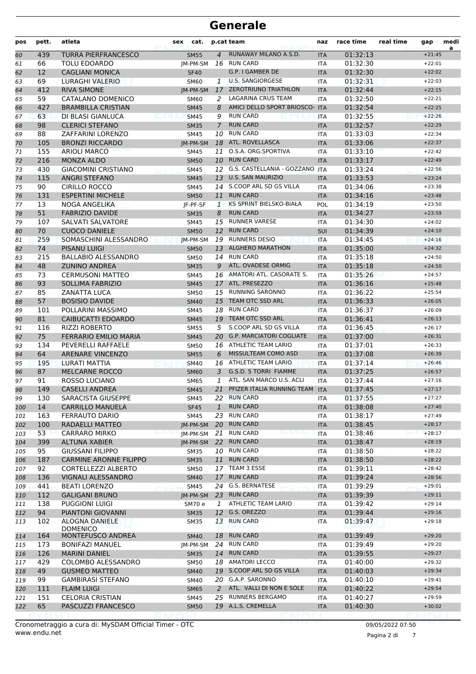| pos        | pett.     | atleta                                        | cat.<br>sex         |                | p.cat team                                      | naz                      | race time            | real time | gap                  | medi<br>a |
|------------|-----------|-----------------------------------------------|---------------------|----------------|-------------------------------------------------|--------------------------|----------------------|-----------|----------------------|-----------|
| 60         | 439       | <b>TURRA PIERFRANCESCO</b>                    | <b>SM55</b>         | $\overline{4}$ | RUNAWAY MILANO A.S.D.                           | <b>ITA</b>               | 01:32:13             |           | $+21:45$             |           |
| 61         | 66        | <b>TOLU EDOARDO</b>                           | IM-PM-SM            |                | 16 RUN CARD                                     | <b>ITA</b>               | 01:32:30             |           | $+22:01$             |           |
| 62         | 12        | <b>CAGLIANI MONICA</b>                        | <b>SF40</b>         |                | G.P. I GAMBER DE                                | <b>ITA</b>               | 01:32:30             |           | $+22:02$             |           |
| 63         | 69        | LURAGHI VALERIO                               | SM60                | $\mathbf{1}$   | <b>U.S. SANGIORGESE</b>                         | <b>ITA</b>               | 01:32:31             |           | $+22:03$             |           |
| 64         | 412       | <b>RIVA SIMONE</b>                            | IM-PM-SM            |                | 17 ZEROTRIUNO TRIATHLON                         | <b>ITA</b>               | 01:32:44             |           | $+22:15$             |           |
| 65         | 59        | CATALANO DOMENICO                             | <b>SM60</b>         | 2              | <b>LAGARINA CRUS TEAM</b>                       | <b>ITA</b>               | 01:32:50             |           | $+22:21$             |           |
| 66         | 427       | <b>BRAMBILLA CRISTIAN</b>                     | <b>SM45</b>         | 8              | AMICI DELLO SPORT BRIOSCO- ITA                  |                          | 01:32:54             |           | $+22:25$             |           |
| 67         | 63        | DI BLASI GIANLUCA                             | <b>SM45</b>         | 9              | <b>RUN CARD</b>                                 | <b>ITA</b>               | 01:32:55             |           | $+22:26$             |           |
| 68         | 98        | <b>CLERICI STEFANO</b>                        | <b>SM35</b>         | $\overline{7}$ | <b>RUN CARD</b>                                 | <b>ITA</b>               | 01:32:57             |           | $+22:29$             |           |
| 69         | 88        | ZAFFARINI LORENZO                             | <b>SM45</b>         | 10             | <b>RUN CARD</b>                                 | <b>ITA</b>               | 01:33:03             |           | $+22:34$             |           |
| 70         | 105       | <b>BRONZI RICCARDO</b>                        | IM-PM-SM            |                | 18 ATL. ROVELLASCA                              | <b>ITA</b>               | 01:33:06             |           | $+22:37$             |           |
| 71         | 155       | <b>ARIOLI MARCO</b>                           | <b>SM45</b>         |                | 11 O.S.A. ORG.SPORTIVA                          | <b>ITA</b>               | 01:33:10             |           | $+22:42$             |           |
| 72         | 216       | <b>MONZA ALDO</b>                             | <b>SM50</b>         |                | 10 RUN CARD                                     | <b>ITA</b>               | 01:33:17             |           | $+22:49$             |           |
| 73         | 430       | <b>GIACOMINI CRISTIANO</b>                    | <b>SM45</b>         |                | 12 G.S. CASTELLANIA - GOZZANO ITA               |                          | 01:33:24             |           | $+22:56$             |           |
| 74         | 115       | <b>ANGRI STEFANO</b>                          | <b>SM45</b>         | 13             | <b>U.S. SAN MAURIZIO</b>                        | <b>ITA</b>               | 01:33:53             |           | $+23:24$             |           |
| 75         | 90        | CIRILLO ROCCO                                 | <b>SM45</b>         |                | 14 S.COOP ARL SD GS VILLA                       | <b>ITA</b>               | 01:34:06             |           | $+23:38$             |           |
| 76         | 131       | <b>ESPERTINI MICHELE</b>                      | <b>SM50</b>         |                | 11 RUN CARD                                     | <b>ITA</b>               | 01:34:16             |           | $+23:48$             |           |
| 77         | 13        | NOGA ANGELIKA                                 | IF-PF-SF            | $\mathbf{1}$   | KS SPRINT BIELSKO-BIAŁA                         | POL                      | 01:34:19             |           | $+23:50$             |           |
| 78         | 51        | <b>FABRIZIO DAVIDE</b>                        | <b>SM35</b>         | 8              | <b>RUN CARD</b>                                 | <b>ITA</b>               | 01:34:27             |           | $+23:59$             |           |
| 79         | 107       | <b>SALVATI SALVATORE</b>                      | <b>SM45</b>         |                | 15 RUNNER VARESE                                | <b>ITA</b>               | 01:34:30             |           | $+24:02$             |           |
| 80         | 70        | <b>CUOCO DANIELE</b>                          | <b>SM50</b>         | 12             | <b>RUN CARD</b>                                 | <b>SUI</b>               | 01:34:39             |           | $+24:10$             |           |
| 81         | 259       | SOMASCHINI ALESSANDRO                         | IM-PM-SM            | 19             | <b>RUNNERS DESIO</b>                            | <b>ITA</b>               | 01:34:45             |           | $+24:16$             |           |
| 82         | 74        | <b>PISANU LUIGI</b>                           | <b>SM50</b>         |                | 13 ALGHERO MARATHON                             | <b>ITA</b>               | 01:35:00             |           | $+24:32$             |           |
| 83         | 215       | <b>BALLABIO ALESSANDRO</b>                    | <b>SM50</b>         |                | 14 RUN CARD                                     | <b>ITA</b>               | 01:35:18             |           | $+24:50$             |           |
| 84         | 48        | <b>ZUNINO ANDREA</b>                          | <b>SM35</b>         | 9              | ATL. OVADESE ORMIG                              | <b>ITA</b>               | 01:35:18             |           | $+24:50$             |           |
| 85         | 73        | <b>CERMUSONI MATTEO</b>                       | <b>SM45</b>         |                | 16 AMATORI ATL. CASORATE S.                     | <b>ITA</b>               | 01:35:26             |           | $+24:57$             |           |
| 86         | 93        | <b>SOLLIMA FABRIZIO</b>                       | <b>SM45</b>         |                | 17 ATL. PRESEZZO                                | <b>ITA</b>               | 01:36:16             |           | $+25:48$             |           |
| 87         | 85        | ZANATTA LUCA                                  | <b>SM50</b>         |                | 15 RUNNING SARONNO                              | <b>ITA</b>               | 01:36:22             |           | $+25:54$             |           |
| 88         | 57        | <b>BOSISIO DAVIDE</b>                         | <b>SM40</b>         | 15             | TEAM OTC SSD ARL                                | <b>ITA</b>               | 01:36:33             |           | $+26:05$             |           |
| 89         | 101       | POLLARINI MASSIMO                             | <b>SM45</b>         |                | 18 RUN CARD                                     | <b>ITA</b>               | 01:36:37             |           | $+26:09$             |           |
| 90         | 81        | <b>CAIBUCATTI EDOARDO</b>                     | <b>SM45</b>         |                | 19 TEAM OTC SSD ARL                             | <b>ITA</b>               | 01:36:41             |           | $+26:13$             |           |
| 91         | 116       | <b>RIZZI ROBERTO</b>                          | <b>SM55</b>         | 5              | S.COOP ARL SD GS VILLA                          | <b>ITA</b>               | 01:36:45             |           | $+26:17$             |           |
| 92         | 75        | <b>FERRARIO EMILIO MARIA</b>                  | <b>SM45</b>         | 20             | <b>G.P. MARCIATORI COGLIATE</b>                 | <b>ITA</b>               | 01:37:00             |           | $+26:31$             |           |
| 93         | 134       | PEVERELLI RAFFAELE                            | <b>SM50</b>         |                | 16 ATHLETIC TEAM LARIO                          | <b>ITA</b>               | 01:37:01             |           | $+26:33$             |           |
| 94         | 64        | <b>ARENARE VINCENZO</b>                       | <b>SM55</b>         | 6              | MISSULTEAM COMO ASD                             | <b>ITA</b>               | 01:37:08             |           | $+26:39$             |           |
| 95         | 195       | LURATI MATTIA                                 | <b>SM40</b>         |                | 16 ATHLETIC TEAM LARIO<br>G.S.D. 5 TORRI FIAMME | <b>ITA</b>               | 01:37:14             |           | $+26:46$             |           |
| 96         | 87<br>91  | MELCARNE ROCCO                                | <b>SM60</b>         | 3<br>1         | ATL. SAN MARCO U.S. ACLI                        | <b>ITA</b>               | 01:37:25             |           | $+26:57$<br>$+27:16$ |           |
| 97         |           | ROSSO LUCIANO<br><b>CASELLI ANDREA</b>        | <b>SM65</b>         |                | PFIZER ITALIA RUNNING TEAM                      | <b>ITA</b>               | 01:37:44             |           | $+27:17$             |           |
| 98         | 149       |                                               | <b>SM45</b>         | 21             | 22 RUN CARD                                     | <b>ITA</b>               | 01:37:45             |           | $+27:27$             |           |
| 99         | 130<br>14 | SARACISTA GIUSEPPE<br><b>CARRILLO MANUELA</b> | SM45<br><b>SF45</b> | $\mathbf{1}$   | <b>RUN CARD</b>                                 | <b>ITA</b>               | 01:37:55<br>01:38:08 |           | $+27:40$             |           |
| 100<br>101 | 163       | <b>FERRAUTO DARIO</b>                         | SM45                |                | 23 RUN CARD                                     | <b>ITA</b><br><b>ITA</b> | 01:38:17             |           | $+27:49$             |           |
| 102        | 100       | RADAELLI MATTEO                               | JM-PM-SM            |                | 20 RUN CARD                                     | <b>ITA</b>               | 01:38:45             |           | $+28:17$             |           |
| 103        | 53        | <b>CARRARO MIRKO</b>                          | JM-PM-SM            |                | 21 RUN CARD                                     | <b>ITA</b>               | 01:38:46             |           | $+28:17$             |           |
| 104        | 399       | <b>ALTUNA XABIER</b>                          | JM-PM-SM            |                | 22 RUN CARD                                     | <b>ITA</b>               | 01:38:47             |           | $+28:19$             |           |
| 105        | 95        | <b>GIUSSANI FILIPPO</b>                       | SM35                |                | 10 RUN CARD                                     | <b>ITA</b>               | 01:38:50             |           | $+28:22$             |           |
| 106        | 187       | <b>CARMINE ARONNE FILIPPO</b>                 | <b>SM35</b>         |                | 11 RUN CARD                                     | <b>ITA</b>               | 01:38:50             |           | $+28:22$             |           |
| 107        | 92        | CORTELLEZZI ALBERTO                           | <b>SM50</b>         |                | 17 TEAM 3 ESSE                                  | <b>ITA</b>               | 01:39:11             |           | $+28:42$             |           |
| 108        | 136       | <b>VIGNALI ALESSANDRO</b>                     | <b>SM40</b>         |                | 17 RUN CARD                                     | <b>ITA</b>               | 01:39:24             |           | $+28:56$             |           |
| 109        | 441       | <b>BEATI LORENZO</b>                          | <b>SM45</b>         |                | 24 G.S. BERNATESE                               | ITA                      | 01:39:29             |           | $+29:01$             |           |
| 110        | 112       | <b>GALIGANI BRUNO</b>                         | JM-PM-SM            |                | 23 RUN CARD                                     | <b>ITA</b>               | 01:39:39             |           | $+29:11$             |           |
| 111        | 138       | <b>PUGGIONI LUIGI</b>                         | SM70 e              | 1              | ATHLETIC TEAM LARIO                             | <b>ITA</b>               | 01:39:42             |           | $+29:14$             |           |
| 112        | 94        | PIANTONI GIOVANNI                             | <b>SM35</b>         |                | 12 G.S. OREZZO                                  | <b>ITA</b>               | 01:39:44             |           | $+29:16$             |           |
| 113        | 102       | ALOGNA DANIELE                                | SM35                |                | 13 RUN CARD                                     | <b>ITA</b>               | 01:39:47             |           | $+29:18$             |           |
|            |           | <b>DOMENICO</b>                               |                     |                |                                                 |                          |                      |           |                      |           |
| 114        | 164       | <b>MONTEFUSCO ANDREA</b>                      | <b>SM40</b>         |                | 18 RUN CARD                                     | <b>ITA</b>               | 01:39:49             |           | $+29:20$             |           |
| 115        | 173       | <b>BONIFAZI MANUEL</b>                        | JM-PM-SM            |                | 24 RUN CARD                                     | <b>ITA</b>               | 01:39:49             |           | $+29:20$             |           |
| 116        | 126       | <b>MARINI DANIEL</b>                          | <b>SM35</b>         |                | 14 RUN CARD                                     | <b>ITA</b>               | 01:39:55             |           | $+29:27$             |           |
| 117        | 429       | COLOMBO ALESSANDRO                            | <b>SM50</b>         |                | 18 AMATORI LECCO                                | <b>ITA</b>               | 01:40:00             |           | $+29:32$             |           |
| 118        | 49        | <b>GUSMEO MATTEO</b>                          | <b>SM40</b>         |                | 19 S.COOP ARL SD GS VILLA                       | <b>ITA</b>               | 01:40:03             |           | $+29:34$             |           |
| 119        | 99        | <b>GAMBIRASI STEFANO</b>                      | SM40                |                | 20 G.A.P. SARONNO                               | ITA                      | 01:40:10             |           | $+29:41$             |           |
| 120        | 111       | <b>FLAIM LUIGI</b>                            | <b>SM65</b>         | 2              | ATL. VALLI DI NON E SOLE                        | <b>ITA</b>               | 01:40:22             |           | $+29:54$             |           |
| 121        | 151       | <b>CELORIA CRISTIAN</b>                       | SM45                | 25             | <b>RUNNERS BERGAMO</b>                          | <b>ITA</b>               | 01:40:27             |           | $+29:59$             |           |
| 122        | 65        | PASCUZZI FRANCESCO                            | <b>SM50</b>         |                | 19 A.L.S. CREMELLA                              | <b>ITA</b>               | 01:40:30             |           | $+30:02$             |           |
|            |           |                                               |                     |                |                                                 |                          |                      |           |                      |           |

www.endu.net Cronometraggio a cura di: MySDAM Official Timer - OTC 09/05/2022 07:50

Pagina 2 di 7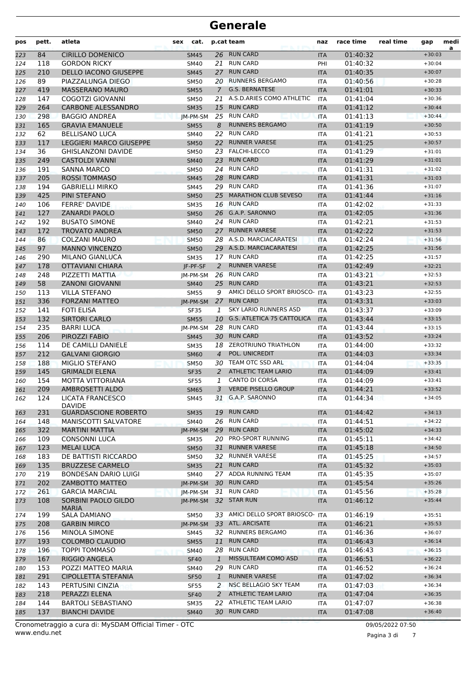| pos | pett. | atleta                              | cat.<br>sex |                | p.cat team                        | naz        | race time | real time | gap      | medi<br>a |
|-----|-------|-------------------------------------|-------------|----------------|-----------------------------------|------------|-----------|-----------|----------|-----------|
| 123 | 84    | <b>CIRILLO DOMENICO</b>             | <b>SM45</b> |                | 26 RUN CARD                       | <b>ITA</b> | 01:40:32  |           | $+30:03$ |           |
| 124 | 118   | <b>GORDON RICKY</b>                 | SM40        | 21             | <b>RUN CARD</b>                   | PHI        | 01:40:32  |           | $+30:04$ |           |
| 125 | 210   | <b>DELLO IACONO GIUSEPPE</b>        | <b>SM45</b> | 27             | <b>RUN CARD</b>                   | <b>ITA</b> | 01:40:35  |           | $+30:07$ |           |
| 126 | 89    | PIAZZALUNGA DIEGO                   | <b>SM50</b> | 20             | <b>RUNNERS BERGAMO</b>            | <b>ITA</b> | 01:40:56  |           | $+30:28$ |           |
| 127 | 419   | <b>MASSERANO MAURO</b>              | <b>SM55</b> | $\mathcal{I}$  | <b>G.S. BERNATESE</b>             | <b>ITA</b> | 01:41:01  |           | $+30:33$ |           |
| 128 | 147   | COGOTZI GIOVANNI                    | <b>SM50</b> |                | 21 A.S.D.ARIES COMO ATHLETIC      | <b>ITA</b> | 01:41:04  |           | $+30:36$ |           |
| 129 | 264   | <b>CARBONE ALESSANDRO</b>           | <b>SM35</b> | 15             | <b>RUN CARD</b>                   | <b>ITA</b> | 01:41:12  |           | $+30:44$ |           |
| 130 | 298   | <b>BAGGIO ANDREA</b>                | IM-PM-SM    |                | 25 RUN CARD                       | <b>ITA</b> | 01:41:13  |           | $+30:44$ |           |
| 131 | 165   | <b>GRAVIA EMANUELE</b>              | <b>SM55</b> | 8              | <b>RUNNERS BERGAMO</b>            | <b>ITA</b> | 01:41:19  |           | $+30:50$ |           |
| 132 | 62    | <b>BELLISANO LUCA</b>               | <b>SM40</b> | 22             | <b>RUN CARD</b>                   | <b>ITA</b> | 01:41:21  |           | $+30:53$ |           |
| 133 | 117   | <b>LEGGIERI MARCO GIUSEPPE</b>      | <b>SM50</b> | 22             | <b>RUNNER VARESE</b>              | <b>ITA</b> | 01:41:25  |           | $+30:57$ |           |
| 134 | 36    | <b>GHISLANZONI DAVIDE</b>           | <b>SM50</b> | 23             | <b>FALCHI-LECCO</b>               | <b>ITA</b> | 01:41:29  |           | $+31:01$ |           |
| 135 | 249   | <b>CASTOLDI VANNI</b>               | <b>SM40</b> | 23             | <b>RUN CARD</b>                   | <b>ITA</b> | 01:41:29  |           | $+31:01$ |           |
| 136 | 191   | <b>SANNA MARCO</b>                  | <b>SM50</b> | 24             | <b>RUN CARD</b>                   | <b>ITA</b> | 01:41:31  |           | $+31:02$ |           |
| 137 | 205   | <b>ROSSI TOMMASO</b>                | <b>SM45</b> | 28             | <b>RUN CARD</b>                   | <b>ITA</b> | 01:41:31  |           | $+31:03$ |           |
| 138 | 194   | <b>GABRIELLI MIRKO</b>              | SM45        | 29             | <b>RUN CARD</b>                   | <b>ITA</b> | 01:41:36  |           | $+31:07$ |           |
| 139 | 425   | PINI STEFANO                        | <b>SM50</b> | 25             | <b>MARATHON CLUB SEVESO</b>       | <b>ITA</b> | 01:41:44  |           | $+31:16$ |           |
| 140 | 106   | <b>FERRE' DAVIDE</b>                | <b>SM35</b> |                | 16 RUN CARD                       | <b>ITA</b> | 01:42:02  |           | $+31:33$ |           |
| 141 | 127   | <b>ZANARDI PAOLO</b>                | <b>SM50</b> |                | 26 G.A.P. SARONNO                 | <b>ITA</b> | 01:42:05  |           | $+31:36$ |           |
| 142 | 192   | <b>BUSATO SIMONE</b>                | <b>SM40</b> |                | 24 RUN CARD                       | <b>ITA</b> | 01:42:21  |           | $+31:53$ |           |
| 143 | 172   | <b>TROVATO ANDREA</b>               | <b>SM50</b> | 27             | <b>RUNNER VARESE</b>              | <b>ITA</b> | 01:42:22  |           | $+31:53$ |           |
| 144 | 86    | <b>COLZANI MAURO</b>                | <b>SM50</b> | 28             | A.S.D. MARCIACARATESI             | <b>ITA</b> | 01:42:24  |           | $+31:56$ |           |
| 145 | 97    | <b>MANNO VINCENZO</b>               | <b>SM50</b> |                | 29 A.S.D. MARCIACARATESI          | <b>ITA</b> | 01:42:25  |           | $+31:56$ |           |
| 146 | 290   | MILANO GIANLUCA                     | <b>SM35</b> |                | 17 RUN CARD                       | <b>ITA</b> | 01:42:25  |           | $+31:57$ |           |
| 147 | 178   | <b>OTTAVIANI CHIARA</b>             | JF-PF-SF    | $\overline{2}$ | <b>RUNNER VARESE</b>              | <b>ITA</b> | 01:42:49  |           | $+32:21$ |           |
| 148 | 248   | PIZZETTI MATTIA                     | JM-PM-SM    |                | 26 RUN CARD                       | <b>ITA</b> | 01:43:21  |           | $+32:53$ |           |
| 149 | 58    | <b>ZANONI GIOVANNI</b>              | <b>SM40</b> | 25             | <b>RUN CARD</b>                   | <b>ITA</b> | 01:43:21  |           | $+32:53$ |           |
| 150 | 113   | <b>VILLA STEFANO</b>                | <b>SM55</b> | 9              | AMICI DELLO SPORT BRIOSCO-        | <b>ITA</b> | 01:43:23  |           | $+32:55$ |           |
| 151 | 336   | <b>FORZANI MATTEO</b>               | JM-PM-SM    | 27             | <b>RUN CARD</b>                   | <b>ITA</b> | 01:43:31  |           | $+33:03$ |           |
| 152 | 141   | <b>FOTI ELISA</b>                   | <b>SF35</b> | 1              | <b>SKY LARIO RUNNERS ASD</b>      | <b>ITA</b> | 01:43:37  |           | $+33:09$ |           |
| 153 | 132   | <b>SIRTORI CARLO</b>                | <b>SM55</b> |                | 10 G.S. ATLETICA 75 CATTOLICA     | <b>ITA</b> | 01:43:44  |           | $+33:15$ |           |
| 154 | 235   | <b>BARRI LUCA</b>                   | JM-PM-SM    |                | 28 RUN CARD                       | <b>ITA</b> | 01:43:44  |           | $+33:15$ |           |
| 155 | 206   | PIROZZI FABIO                       | <b>SM45</b> |                | 30 RUN CARD                       | <b>ITA</b> | 01:43:52  |           | $+33:24$ |           |
| 156 | 114   | DE CAMILLI DANIELE                  | <b>SM35</b> | 18             | <b>ZEROTRIUNO TRIATHLON</b>       | <b>ITA</b> | 01:44:00  |           | $+33:32$ |           |
| 157 | 212   | <b>GALVANI GIORGIO</b>              | <b>SM60</b> | $\overline{4}$ | POL. UNICREDIT                    | <b>ITA</b> | 01:44:03  |           | $+33:34$ |           |
| 158 | 188   | <b>MIGLIO STEFANO</b>               | <b>SM50</b> | 30             | TEAM OTC SSD ARL                  | <b>ITA</b> | 01:44:04  |           | $+33:35$ |           |
| 159 | 145   | <b>GRIMALDI ELENA</b>               | <b>SF35</b> | 2              | <b>ATHLETIC TEAM LARIO</b>        | <b>ITA</b> | 01:44:09  |           | $+33:41$ |           |
| 160 | 154   | MOTTA VITTORIANA                    | <b>SF55</b> | 1              | <b>CANTO DI CORSA</b>             | <b>ITA</b> | 01:44:09  |           | $+33:41$ |           |
| 161 | 209   | AMBROSETTI ALDO                     | <b>SM65</b> | 3              | <b>VERDE PISELLO GROUP</b>        | <b>ITA</b> | 01:44:21  |           | $+33:52$ |           |
| 162 | 124   | LICATA FRANCESCO                    | SM45        |                | 31 G.A.P. SARONNO                 | ITA        | 01:44:34  |           | $+34:05$ |           |
|     |       | <b>DAVIDE</b>                       |             |                |                                   |            |           |           |          |           |
| 163 | 231   | <b>GUARDASCIONE ROBERTO</b>         | <b>SM35</b> | 19             | <b>RUN CARD</b>                   | <b>ITA</b> | 01:44:42  |           | $+34:13$ |           |
| 164 | 148   | <b>MANISCOTTI SALVATORE</b>         | SM40        |                | 26 RUN CARD                       | ITA        | 01:44:51  |           | $+34:22$ |           |
| 165 | 322   | <b>MARTINI MATTIA</b>               | IM-PM-SM    |                | 29 RUN CARD                       | <b>ITA</b> | 01:45:02  |           | $+34:33$ |           |
| 166 | 109   | <b>CONSONNI LUCA</b>                | SM35        |                | 20 PRO-SPORT RUNNING              | ITA        | 01:45:11  |           | $+34:42$ |           |
| 167 | 123   | <b>MELAI LUCA</b>                   | <b>SM50</b> |                | 31 RUNNER VARESE                  | <b>ITA</b> | 01:45:18  |           | $+34:50$ |           |
| 168 | 183   | DE BATTISTI RICCARDO                | <b>SM50</b> |                | 32 RUNNER VARESE                  | ITA        | 01:45:25  |           | $+34:57$ |           |
| 169 | 135   | <b>BRUZZESE CARMELO</b>             | <b>SM35</b> | 21             | <b>RUN CARD</b>                   | <b>ITA</b> | 01:45:32  |           | $+35:03$ |           |
| 170 | 219   | BONDESAN DARIO LUIGI                | SM40        |                | 27 ADDA RUNNING TEAM              | ITA        | 01:45:35  |           | $+35:07$ |           |
| 171 | 202   | ZAMBOTTO MATTEO                     | JM-PM-SM    |                | 30 RUN CARD                       | <b>ITA</b> | 01:45:54  |           | $+35:26$ |           |
| 172 | 261   | <b>GARCIA MARCIAL</b>               | JM-PM-SM    |                | 31 RUN CARD                       | <b>ITA</b> | 01:45:56  |           | $+35:28$ |           |
| 173 | 108   | SORBINI PAOLO GILDO<br><b>MARIA</b> | JM-PM-SM    |                | 32 STAR RUN                       | <b>ITA</b> | 01:46:12  |           | $+35:44$ |           |
| 174 | 199   | <b>SALA DAMIANO</b>                 | SM50        |                | 33 AMICI DELLO SPORT BRIOSCO- ITA |            | 01:46:19  |           | $+35:51$ |           |
| 175 | 208   | <b>GARBIN MIRCO</b>                 | JM-PM-SM    |                | 33 ATL. ARCISATE                  | <b>ITA</b> | 01:46:21  |           | $+35:53$ |           |
| 176 | 156   | MINOLA SIMONE                       | SM45        | 32             | <b>RUNNERS BERGAMO</b>            | ITA        | 01:46:36  |           | $+36:07$ |           |
| 177 | 193   | <b>COLOMBO CLAUDIO</b>              | <b>SM55</b> | 11             | <b>RUN CARD</b>                   | <b>ITA</b> | 01:46:43  |           | $+36:14$ |           |
| 178 | 196   | <b>TOPPI TOMMASO</b>                | <b>SM40</b> |                | 28 RUN CARD                       | ITA        | 01:46:43  |           | $+36:15$ |           |
| 179 | 167   | RIGGIO ANGELA                       | <b>SF40</b> | $\mathbf{1}$   | MISSULTEAM COMO ASD               | <b>ITA</b> | 01:46:51  |           | $+36:22$ |           |
| 180 | 153   | POZZI MATTEO MARIA                  | SM40        |                | 29 RUN CARD                       | ITA        | 01:46:52  |           | $+36:24$ |           |
| 181 | 291   | CIPOLLETTA STEFANIA                 | <b>SF50</b> | $\mathbf{1}$   | <b>RUNNER VARESE</b>              | <b>ITA</b> | 01:47:02  |           | $+36:34$ |           |
| 182 | 143   | PERTUSINI CINZIA                    | <b>SF55</b> | 2              | NSC BELLAGIO SKY TEAM             | ITA        | 01:47:03  |           | $+36:34$ |           |
| 183 | 218   | PERAZZI ELENA                       | <b>SF40</b> | 2              | ATHLETIC TEAM LARIO               | <b>ITA</b> | 01:47:04  |           | $+36:35$ |           |
| 184 | 144   | <b>BARTOLI SEBASTIANO</b>           | <b>SM35</b> |                | 22 ATHLETIC TEAM LARIO            | ITA        | 01:47:07  |           | $+36:38$ |           |
| 185 | 137   | <b>BIANCHI DAVIDE</b>               | <b>SM40</b> |                | 30 RUN CARD                       | <b>ITA</b> | 01:47:08  |           | $+36:40$ |           |
|     |       |                                     |             |                |                                   |            |           |           |          |           |

Pagina 3 di 7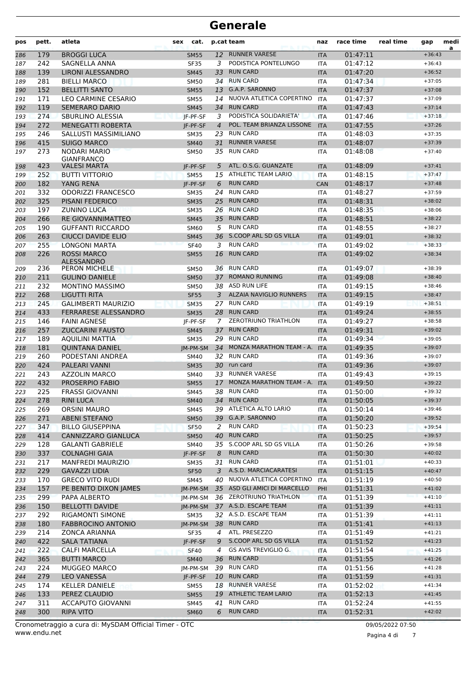| pos        | pett.      | atleta                                   | cat.<br>sex         |                | p.cat team                                       | naz                      | race time            | real time | gap                  | medi<br>a |
|------------|------------|------------------------------------------|---------------------|----------------|--------------------------------------------------|--------------------------|----------------------|-----------|----------------------|-----------|
| 186        | 179        | <b>BROGGI LUCA</b>                       | <b>SM55</b>         | 12             | <b>RUNNER VARESE</b>                             | <b>ITA</b>               | 01:47:11             |           | $+36:43$             |           |
| 187        | 242        | SAGNELLA ANNA                            | <b>SF35</b>         | 3              | PODISTICA PONTELUNGO                             | <b>ITA</b>               | 01:47:12             |           | $+36:43$             |           |
| 188        | 139        | LIRONI ALESSANDRO                        | <b>SM45</b>         | 33             | <b>RUN CARD</b>                                  | <b>ITA</b>               | 01:47:20             |           | $+36:52$             |           |
| 189        | 281        | <b>BIELLI MARCO</b>                      | <b>SM50</b>         | 34             | <b>RUN CARD</b>                                  | <b>ITA</b>               | 01:47:34             |           | $+37:05$             |           |
| 190        | 152        | <b>BELLITTI SANTO</b>                    | <b>SM55</b>         | 13             | <b>G.A.P. SARONNO</b>                            | <b>ITA</b>               | 01:47:37             |           | $+37:08$             |           |
| 191        | 171        | LEO CARMINE CESARIO                      | <b>SM55</b>         | 14             | NUOVA ATLETICA COPERTINO                         | <b>ITA</b>               | 01:47:37             |           | $+37:09$             |           |
| 192        | 119        | <b>SEMERARO DARIO</b>                    | <b>SM45</b>         | 34             | <b>RUN CARD</b>                                  | <b>ITA</b>               | 01:47:43             |           | $+37:14$             |           |
| 193        | 274        | <b>SBURLINO ALESSIA</b>                  | JF-PF-SF            | 3              | PODISTICA SOLIDARIETA'                           | <b>ITA</b>               | 01:47:46             |           | $+37:18$             |           |
| 194        | 272        | <b>MENEGATTI ROBERTA</b>                 | IF-PF-SF            | $\overline{4}$ | POL. TEAM BRIANZA LISSONE                        | <b>ITA</b>               | 01:47:55             |           | $+37:26$             |           |
| 195        | 246        | SALLUSTI MASSIMILIANO                    | <b>SM35</b>         | 23             | <b>RUN CARD</b>                                  | <b>ITA</b>               | 01:48:03             |           | $+37:35$             |           |
| 196        | 415        | <b>SUIGO MARCO</b>                       | <b>SM40</b>         | 31             | <b>RUNNER VARESE</b>                             | <b>ITA</b>               | 01:48:07             |           | $+37:39$             |           |
| 197        | 273        | NODARI MARIO                             | <b>SM50</b>         |                | 35 RUN CARD                                      | <b>ITA</b>               | 01:48:08             |           | $+37:40$             |           |
| 198        | 423        | <b>GIANFRANCO</b><br><b>VALESI MARTA</b> | IF-PF-SF            | 5              | ATL. O.S.G. GUANZATE                             | <b>ITA</b>               | 01:48:09             |           | $+37:41$             |           |
| 199        | 252        | <b>BUTTI VITTORIO</b>                    | <b>SM55</b>         |                | 15 ATHLETIC TEAM LARIO                           | <b>ITA</b>               | 01:48:15             |           | $+37:47$             |           |
| 200        | 182        | YANG RENA                                | IF-PF-SF            | 6              | <b>RUN CARD</b>                                  | <b>CAN</b>               | 01:48:17             |           | $+37:48$             |           |
| 201        | 332        | <b>ODORIZZI FRANCESCO</b>                | <b>SM35</b>         | 24             | <b>RUN CARD</b>                                  | <b>ITA</b>               | 01:48:27             |           | $+37:59$             |           |
| 202        | 325        | <b>PISANI FEDERICO</b>                   | <b>SM35</b>         | 25             | <b>RUN CARD</b>                                  | <b>ITA</b>               | 01:48:31             |           | $+38:02$             |           |
| 203        | 197        | ZUNINO LUCA<br>net                       | <b>SM35</b>         | 26             | <b>RUN CARD</b>                                  | <b>ITA</b>               | 01:48:35             |           | $+38:06$             |           |
| 204        | 266        | <b>RE GIOVANNIMATTEO</b>                 | <b>SM45</b>         | 35             | <b>RUN CARD</b>                                  | <b>ITA</b>               | 01:48:51             |           | $+38:22$             |           |
| 205        | 190        | <b>GUFFANTI RICCARDO</b>                 | <b>SM60</b>         | 5              | <b>RUN CARD</b>                                  | <b>ITA</b>               | 01:48:55             |           | $+38:27$             |           |
| 206        | 263        | CIUCCI DAVIDE ELIO                       | <b>SM45</b>         |                | 36 S.COOP ARL SD GS VILLA                        | <b>ITA</b>               | 01:49:01             |           | $+38:32$             |           |
| 207        | 255        | LONGONI MARTA                            | <b>SF40</b>         | 3              | <b>RUN CARD</b>                                  | <b>ITA</b>               | 01:49:02             |           | $+38:33$             |           |
| 208        | 226        | <b>ROSSI MARCO</b>                       | <b>SM55</b>         | 16             | <b>RUN CARD</b>                                  | <b>ITA</b>               | 01:49:02             |           | $+38:34$             |           |
|            |            | <b>ALESSANDRO</b>                        |                     |                |                                                  |                          |                      |           |                      |           |
| 209        | 236        | <b>PERON MICHELE</b>                     | <b>SM50</b>         | 36             | <b>RUN CARD</b>                                  | <b>ITA</b>               | 01:49:07             |           | $+38:39$             |           |
| 210        | 211        | <b>GULINO DANIELE</b>                    | <b>SM50</b>         | 37             | <b>ROMANO RUNNING</b>                            | <b>ITA</b>               | 01:49:08             |           | $+38:40$             |           |
| 211        | 232        | <b>MONTINO MASSIMO</b>                   | <b>SM50</b>         |                | 38 ASD RUN LIFE                                  | <b>ITA</b>               | 01:49:15             |           | $+38:46$             |           |
| 212        | 268        | LIGUTTI RITA                             | <b>SF55</b>         | 3              | <b>ALZAIA NAVIGLIO RUNNERS</b>                   | <b>ITA</b>               | 01:49:15             |           | $+38:47$             |           |
| 213        | 245        | <b>GALIMBERTI MAURIZIO</b>               | <b>SM35</b>         |                | 27 RUN CARD                                      | <b>ITA</b>               | 01:49:19             |           | $+38:51$             |           |
| 214        | 433        | FERRARESE ALESSANDRO                     | <b>SM35</b>         | 28             | <b>RUN CARD</b>                                  | <b>ITA</b>               | 01:49:24             |           | $+38:55$             |           |
| 215        | 146        | <b>FAINI AGNESE</b>                      | IF-PF-SF            | 7              | ZEROTRIUNO TRIATHLON                             | <b>ITA</b>               | 01:49:27             |           | $+38:58$             |           |
| 216        | 257        | <b>ZUCCARINI FAUSTO</b>                  | <b>SM45</b>         | 37             | <b>RUN CARD</b>                                  | <b>ITA</b>               | 01:49:31             |           | $+39:02$             |           |
| 217        | 189        | <b>AQUILINI MATTIA</b>                   | <b>SM35</b>         |                | 29 RUN CARD                                      | <b>ITA</b>               | 01:49:34             |           | $+39:05$             |           |
| 218        | 181        | <b>QUINTANA DANIEL</b>                   | IM-PM-SM            | 34             | MONZA MARATHON TEAM - A.                         | <b>ITA</b>               | 01:49:35             |           | $+39:07$             |           |
| 219        | 260        | PODESTANI ANDREA                         | SM40                |                | 32 RUN CARD                                      | <b>ITA</b>               | 01:49:36             |           | $+39:07$             |           |
| 220        | 424        | PALEARI VANNI                            | <b>SM35</b>         |                | 30 run card                                      | <b>ITA</b>               | 01:49:36             |           | $+39:07$             |           |
| 221        | 243<br>432 | <b>AZZOLIN MARCO</b><br>PROSERPIO FABIO  | <b>SM40</b>         | 33             | <b>RUNNER VARESE</b><br>MONZA MARATHON TEAM - A. | <b>ITA</b>               | 01:49:43             |           | $+39:15$<br>$+39:22$ |           |
| 222        |            | <b>FRASSI GIOVANNI</b>                   | <b>SM55</b>         | 17<br>38       | <b>RUN CARD</b>                                  | <b>ITA</b>               | 01:49:50             |           | $+39:32$             |           |
| 223<br>224 | 225<br>278 | <b>RINI LUCA</b>                         | SM45<br><b>SM40</b> |                | 34 RUN CARD                                      | <b>ITA</b><br><b>ITA</b> | 01:50:00<br>01:50:05 |           | $+39:37$             |           |
| 225        | 269        | <b>ORSINI MAURO</b>                      | <b>SM45</b>         |                | 39 ATLETICA ALTO LARIO                           | <b>ITA</b>               | 01:50:14             |           | $+39:46$             |           |
| 226        | 271        | <b>ABENI STEFANO</b>                     | <b>SM50</b>         |                | 39 G.A.P. SARONNO                                | <b>ITA</b>               | 01:50:20             |           | $+39:52$             |           |
| 227        | 347        | <b>BILLO GIUSEPPINA</b>                  | <b>SF50</b>         | 2              | <b>RUN CARD</b>                                  | ITA                      | 01:50:23             |           | $+39:54$             |           |
| 228        | 414        | CANNIZZARO GIANLUCA                      | <b>SM50</b>         | 40             | <b>RUN CARD</b>                                  | <b>ITA</b>               | 01:50:25             |           | $+39:57$             |           |
| 229        | 128        | <b>GALANTI GABRIELE</b>                  | SM40                |                | 35 S.COOP ARL SD GS VILLA                        | <b>ITA</b>               | 01:50:26             |           | $+39:58$             |           |
| 230        | 337        | <b>COLNAGHI GAIA</b>                     | JF-PF-SF            | 8              | <b>RUN CARD</b>                                  | <b>ITA</b>               | 01:50:30             |           | $+40:02$             |           |
| 231        | 217        | MANFREDI MAURIZIO                        | SM35                |                | 31 RUN CARD                                      | ITA                      | 01:51:01             |           | $+40:33$             |           |
| 232        | 229        | <b>GAVAZZI LIDIA</b>                     | <b>SF50</b>         | 3              | A.S.D. MARCIACARATESI                            | <b>ITA</b>               | 01:51:15             |           | $+40:47$             |           |
| 233        | 170        | <b>GRECO VITO RUDI</b>                   | SM45                | 40             | NUOVA ATLETICA COPERTINO                         | <b>ITA</b>               | 01:51:19             |           | $+40:50$             |           |
| 234        | 157        | PE BENITO DIXON JAMES                    | JM-PM-SM            |                | 35 ASD GLI AMICI DI MARCELLO                     | PHI                      | 01:51:31             |           | $+41:02$             |           |
| 235        | 299        | PAPA ALBERTO                             | JM-PM-SM            |                | 36 ZEROTRIUNO TRIATHLON                          | <b>ITA</b>               | 01:51:39             |           | $+41:10$             |           |
| 236        | 150        | <b>BELLOTTI DAVIDE</b>                   | JM-PM-SM            |                | 37 A.S.D. ESCAPE TEAM                            | <b>ITA</b>               | 01:51:39             |           | $+41:11$             |           |
| 237        | 292        | RIGAMONTI SIMONE                         | <b>SM35</b>         |                | 32 A.S.D. ESCAPE TEAM                            | ITA                      | 01:51:39             |           | $+41:11$             |           |
| 238        | 180        | <b>FABBROCINO ANTONIO</b>                | JM-PM-SM            |                | 38 RUN CARD                                      | <b>ITA</b>               | 01:51:41             |           | $+41:13$             |           |
| 239        | 214        | ZONCA ARIANNA                            | <b>SF35</b>         | 4              | ATL. PRESEZZO                                    | ITA                      | 01:51:49             |           | $+41:21$             |           |
| 240        | 422        | <b>SALA TATIANA</b>                      | JF-PF-SF            | 9              | S.COOP ARL SD GS VILLA                           | <b>ITA</b>               | 01:51:52             |           | $+41:23$             |           |
| 241        | 222        | <b>CALFI MARCELLA</b>                    | <b>SF40</b>         | 4              | GS AVIS TREVIGLIO G.                             | <b>ITA</b>               | 01:51:54             |           | $+41:25$             |           |
| 242        | 365        | <b>BUTTI MARCO</b>                       | <b>SM40</b>         | 36             | <b>RUN CARD</b>                                  | <b>ITA</b>               | 01:51:55             |           | $+41:26$             |           |
| 243        | 224        | <b>MUGGEO MARCO</b>                      | JM-PM-SM            |                | 39 RUN CARD                                      | <b>ITA</b>               | 01:51:56             |           | $+41:28$             |           |
| 244        | 279        | <b>LEO VANESSA</b>                       | JF-PF-SF            | 10             | <b>RUN CARD</b>                                  | <b>ITA</b>               | 01:51:59             |           | $+41:31$             |           |
| 245        | 174        | <b>KELLER DANIELE</b>                    | SM55                | 18             | <b>RUNNER VARESE</b>                             | ITA                      | 01:52:02             |           | $+41:34$             |           |
| 246        | 133        | PEREZ CLAUDIO                            | <b>SM55</b>         | 19             | <b>ATHLETIC TEAM LARIO</b>                       | <b>ITA</b>               | 01:52:13             |           | $+41:45$             |           |
| 247        | 311        | <b>ACCAPUTO GIOVANNI</b>                 | <b>SM45</b>         | 41             | <b>RUN CARD</b>                                  | ITA                      | 01:52:24             |           | $+41:55$             |           |
| 248        | 300        | <b>RIPA VITO</b>                         | <b>SM60</b>         | 6              | <b>RUN CARD</b>                                  | <b>ITA</b>               | 01:52:31             |           | $+42:02$             |           |

Pagina 4 di 7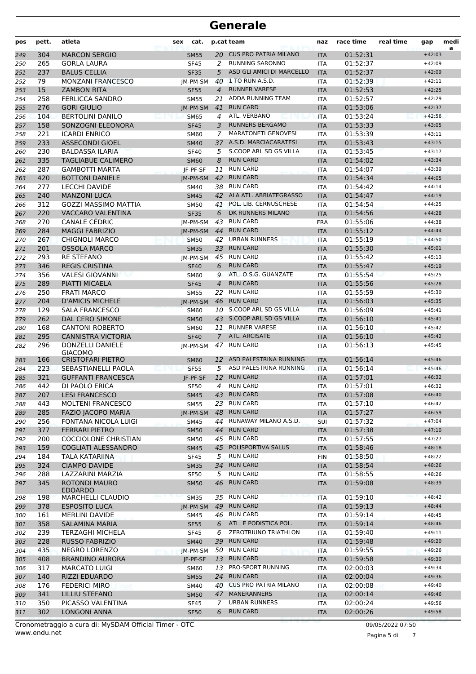| pos        | pett.      | atleta                                             | cat.<br>sex                |                | p.cat team                         | naz                      | race time            | real time | gap                  | medi<br>a |
|------------|------------|----------------------------------------------------|----------------------------|----------------|------------------------------------|--------------------------|----------------------|-----------|----------------------|-----------|
| 249        | 304        | <b>MARCON SERGIO</b>                               | <b>SM55</b>                | 20             | <b>CUS PRO PATRIA MILANO</b>       | <b>ITA</b>               | 01:52:31             |           | $+42:03$             |           |
| 250        | 265        | <b>GORLA LAURA</b>                                 | <b>SF45</b>                | 2              | <b>RUNNING SARONNO</b>             | <b>ITA</b>               | 01:52:37             |           | $+42:09$             |           |
| 251        | 237        | <b>BALUS CELLIA</b>                                | <b>SF35</b>                | 5              | ASD GLI AMICI DI MARCELLO          | <b>ITA</b>               | 01:52:37             |           | $+42:09$             |           |
| 252        | 79         | <b>MONZANI FRANCESCO</b>                           | IM-PM-SM                   | 40             | 1 TO RUN A.S.D.                    | <b>ITA</b>               | 01:52:39             |           | $+42:11$             |           |
| 253        | 15         | <b>ZAMBON RITA</b>                                 | <b>SF55</b>                | $\overline{4}$ | <b>RUNNER VARESE</b>               | <b>ITA</b>               | 01:52:53             |           | $+42:25$             |           |
| 254        | 258        | FERLICCA SANDRO                                    | <b>SM55</b>                | 21             | ADDA RUNNING TEAM                  | <b>ITA</b>               | 01:52:57             |           | $+42:29$             |           |
| 255        | 276        | <b>GORI GIULIO</b>                                 | IM-PM-SM                   | 41             | <b>RUN CARD</b>                    | <b>ITA</b>               | 01:53:06             |           | $+42:37$             |           |
| 256        | 104        | <b>BERTOLINI DANILO</b>                            | <b>SM65</b>                | $\overline{4}$ | ATL. VERBANO                       | <b>ITA</b>               | 01:53:24             |           | $+42:56$             |           |
| 257        | 158        | SONZOGNI ELEONORA                                  | <b>SF45</b>                | 3              | <b>RUNNERS BERGAMO</b>             | <b>ITA</b>               | 01:53:33             |           | $+43:05$             |           |
| 258        | 221        | <b>ICARDI ENRICO</b>                               | <b>SM60</b>                | 7              | <b>MARATONETI GENOVESI</b>         | <b>ITA</b>               | 01:53:39             |           | $+43:11$             |           |
| 259        | 233        | <b>ASSECONDI GIOEL</b>                             | <b>SM40</b>                | 37             | A.S.D. MARCIACARATESI              | <b>ITA</b>               | 01:53:43             |           | $+43:15$             |           |
| 260        | 230        | <b>BALDASSA ILARIA</b>                             | <b>SF40</b>                | 5              | S.COOP ARL SD GS VILLA             | <b>ITA</b>               | 01:53:45             |           | $+43:17$             |           |
| 261        | 335        | <b>TAGLIABUE CALIMERO</b>                          | <b>SM60</b>                | 8              | <b>RUN CARD</b><br><b>RUN CARD</b> | <b>ITA</b>               | 01:54:02             |           | $+43:34$             |           |
| 262        | 287        | <b>GAMBOTTI MARTA</b>                              | JF-PF-SF                   | 11             | <b>RUN CARD</b>                    | <b>ITA</b>               | 01:54:07             |           | $+43:39$             |           |
| 263        | 420        | <b>BOTTONI DANIELE</b>                             | IM-PM-SM                   | 42             | <b>RUN CARD</b>                    | <b>ITA</b>               | 01:54:34             |           | $+44:05$<br>$+44:14$ |           |
| 264        | 277        | <b>LECCHI DAVIDE</b>                               | <b>SM40</b>                | 38             | 42 ALA ATL. ABBIATEGRASSO          | <b>ITA</b>               | 01:54:42             |           |                      |           |
| 265        | 240<br>312 | <b>MANZONI LUCA</b><br><b>GOZZI MASSIMO MATTIA</b> | <b>SM45</b>                |                | POL. LIB. CERNUSCHESE              | <b>ITA</b>               | 01:54:47<br>01:54:54 |           | $+44:19$<br>$+44:25$ |           |
| 266        |            |                                                    | <b>SM50</b>                | 41             | DK RUNNERS MILANO                  | <b>ITA</b>               |                      |           | $+44:28$             |           |
| 267        | 220<br>270 | <b>VACCARO VALENTINA</b><br><b>CANALE CÉDRIC</b>   | <b>SF35</b>                | 6              | 43 RUN CARD                        | <b>ITA</b>               | 01:54:56<br>01:55:06 |           | $+44:38$             |           |
| 268        | 284        | <b>MAGGI FABRIZIO</b>                              | JM-PM-SM                   | 44             | <b>RUN CARD</b>                    | <b>FRA</b>               | 01:55:12             |           | $+44:44$             |           |
| 269        |            |                                                    | IM-PM-SM                   |                | <b>URBAN RUNNERS</b>               | <b>ITA</b>               |                      |           | $+44:50$             |           |
| 270        | 267<br>201 | <b>CHIGNOLI MARCO</b><br><b>OSSOLA MARCO</b>       | <b>SM50</b>                | 42             | <b>RUN CARD</b>                    | <b>ITA</b>               | 01:55:19<br>01:55:30 |           |                      |           |
| 271        | 293        | <b>RE STEFANO</b>                                  | <b>SM35</b>                | 33<br>45       | <b>RUN CARD</b>                    | <b>ITA</b>               | 01:55:42             |           | $+45:01$<br>$+45:13$ |           |
| 272        | 346        | <b>REGIS CRISTINA</b>                              | IM-PM-SM                   | 6              | <b>RUN CARD</b>                    | <b>ITA</b>               | 01:55:47             |           | $+45:19$             |           |
| 273<br>274 | 356        | <b>VALESI GIOVANNI</b>                             | <b>SF40</b><br><b>SM60</b> | 9              | ATL. O.S.G. GUANZATE               | <b>ITA</b><br><b>ITA</b> | 01:55:54             |           | $+45:25$             |           |
|            | 289        | PIATTI MICAELA                                     | <b>SF45</b>                | $\overline{4}$ | <b>RUN CARD</b>                    | <b>ITA</b>               | 01:55:56             |           | $+45:28$             |           |
| 275<br>276 | 250        | <b>FRATI MARCO</b>                                 | <b>SM55</b>                | 22             | <b>RUN CARD</b>                    | <b>ITA</b>               | 01:55:59             |           | $+45:30$             |           |
| 277        | 204        | <b>D'AMICIS MICHELE</b>                            | <b>IM-PM-SM</b>            | 46             | <b>RUN CARD</b>                    | <b>ITA</b>               | 01:56:03             |           | $+45:35$             |           |
| 278        | 129        | <b>SALA FRANCESCO</b>                              | <b>SM60</b>                | 10             | S.COOP ARL SD GS VILLA             | <b>ITA</b>               | 01:56:09             |           | $+45:41$             |           |
| 279        | 262        | <b>DAL CERO SIMONE</b>                             | <b>SM50</b>                |                | 43 S.COOP ARL SD GS VILLA          | <b>ITA</b>               | 01:56:10             |           | $+45:41$             |           |
| 280        | 168        | <b>CANTONI ROBERTO</b>                             | SM60                       | 11             | <b>RUNNER VARESE</b>               | <b>ITA</b>               | 01:56:10             |           | $+45:42$             |           |
| 281        | 295        | <b>CANNISTRA VICTORIA</b>                          | <b>SF40</b>                | $7^{\circ}$    | ATL. ARCISATE                      | <b>ITA</b>               | 01:56:10             |           | $+45:42$             |           |
| 282        | 296        | <b>DONZELLI DANIELE</b>                            | IM-PM-SM                   | 47             | <b>RUN CARD</b>                    | <b>ITA</b>               | 01:56:13             |           | $+45:45$             |           |
|            |            | <b>GIACOMO</b>                                     |                            |                |                                    |                          |                      |           |                      |           |
| 283        | 166        | <b>CRISTOFARI PIETRO</b>                           | <b>SM60</b>                | 12             | ASD PALESTRINA RUNNING             | <b>ITA</b>               | 01:56:14             |           | $+45:46$             |           |
| 284        | 223        | <b>SEBASTIANELLI PAOLA</b>                         | <b>SF55</b>                | 5              | ASD PALESTRINA RUNNING             | <b>ITA</b>               | 01:56:14             |           | $+45:46$             |           |
| 285        | 321        | <b>GUFFANTI FRANCESCA</b>                          | JF-PF-SF                   | 12             | <b>RUN CARD</b>                    | <b>ITA</b>               | 01:57:01             |           | $+46:32$             |           |
| 286        | 442        | DI PAOLO ERICA                                     | <b>SF50</b>                | 4              | <b>RUN CARD</b>                    | <b>ITA</b>               | 01:57:01             |           | $+46:32$             |           |
| 287        | 207        | <b>LESI FRANCESCO</b>                              | SM45                       |                | 43 RUN CARD                        | ITA                      | 01:57:08             |           | $+46:40$             |           |
| 288        | 443        | <b>MOLTENI FRANCESCO</b>                           | <b>SM55</b>                |                | 23 RUN CARD                        | ITA                      | 01:57:10             |           | $+46:42$             |           |
| 289        | 285        | <b>FAZIO JACOPO MARIA</b>                          | JM-PM-SM                   |                | 48 RUN CARD                        | <b>ITA</b>               | 01:57:27             |           | $+46:59$             |           |
| 290        | 256        | FONTANA NICOLA LUIGI                               | <b>SM45</b>                | 44             | RUNAWAY MILANO A.S.D.              | SUI                      | 01:57:32             |           | $+47:04$             |           |
| 291        | 377        | <b>FERRARI PIETRO</b>                              | <b>SM50</b>                | 44             | <b>RUN CARD</b>                    | <b>ITA</b>               | 01:57:38             |           | $+47:10$             |           |
| 292        | 200        | COCCIOLONE CHRISTIAN                               | <b>SM50</b>                |                | 45 RUN CARD                        | ITA                      | 01:57:55             |           | $+47:27$             |           |
| 293        | 159        | COGLIATI ALESSANDRO                                | <b>SM45</b>                |                | 45 POLISPORTIVA SALUS              | <b>ITA</b>               | 01:58:46             |           | $+48:18$             |           |
| 294        | 184        | TALA KATARIINA                                     | <b>SF45</b>                | 5              | <b>RUN CARD</b>                    | <b>FIN</b>               | 01:58:50             |           | $+48:22$             |           |
| 295        | 324        | <b>CIAMPO DAVIDE</b>                               | <b>SM35</b>                | 34             | <b>RUN CARD</b>                    | <b>ITA</b>               | 01:58:54             |           | $+48:26$             |           |
| 296        | 288        | LAZZARINI MARZIA                                   | <b>SF50</b>                | 5              | <b>RUN CARD</b><br><b>RUN CARD</b> | ITA                      | 01:58:55             |           | $+48:26$<br>$+48:39$ |           |
| 297        | 345        | <b>ROTONDI MAURO</b><br><b>EDOARDO</b>             | <b>SM50</b>                | 46             |                                    | <b>ITA</b>               | 01:59:08             |           |                      |           |
| 298        | 198        | <b>MARCHELLI CLAUDIO</b>                           | <b>SM35</b>                |                | 35 RUN CARD                        | <b>ITA</b>               | 01:59:10             |           | $+48:42$             |           |
| 299        | 378        | <b>ESPOSITO LUCA</b>                               | JM-PM-SM                   |                | 49 RUN CARD                        | <b>ITA</b>               | 01:59:13             |           | $+48:44$             |           |
| 300        | 161        | <b>MERLINI DAVIDE</b>                              | SM45                       |                | 46 RUN CARD                        | ITA                      | 01:59:14             |           | $+48:45$             |           |
| 301        | 358        | <b>SALAMINA MARIA</b>                              | <b>SF55</b>                | 6              | ATL. E PODISTICA POL.              | <b>ITA</b>               | 01:59:14             |           | $+48:46$             |           |
| 302        | 239        | TERZAGHI MICHELA                                   | <b>SF45</b>                | 6              | ZEROTRIUNO TRIATHLON               | ITA                      | 01:59:40             |           | $+49:11$             |           |
| 303        | 228        | <b>RUSSO FABRIZIO</b>                              | <b>SM40</b>                | 39             | <b>RUN CARD</b>                    | <b>ITA</b>               | 01:59:48             |           | $+49:20$             |           |
| 304        | 435        | <b>NEGRO LORENZO</b>                               | JM-PM-SM                   | 50             | <b>RUN CARD</b>                    | ITA                      | 01:59:55             |           | $+49:26$             |           |
| 305        | 408        | <b>BRANDINO AURORA</b>                             | JF-PF-SF                   |                | 13 RUN CARD                        | <b>ITA</b>               | 01:59:58             |           | $+49:30$             |           |
| 306        | 317        | <b>MARCATO LUIGI</b>                               | SM60                       |                | 13 PRO-SPORT RUNNING               | ITA                      | 02:00:03             |           | $+49:34$             |           |
| 307        | 140        | RIZZI EDUARDO                                      | <b>SM55</b>                |                | 24 RUN CARD                        | <b>ITA</b>               | 02:00:04             |           | $+49:36$             |           |
| 308        | 176        | <b>FEDERICI MIRO</b>                               | SM40                       | 40             | <b>CUS PRO PATRIA MILANO</b>       | ITA                      | 02:00:08             |           | $+49:40$             |           |
| 309        | 341        | <b>LILLIU STEFANO</b>                              | <b>SM50</b>                | 47             | <b>MANERANNERS</b>                 | <b>ITA</b>               | 02:00:14             |           | $+49:46$             |           |
| 310        | 350        | PICASSO VALENTINA                                  | <b>SF45</b>                | 7              | <b>URBAN RUNNERS</b>               | ITA                      | 02:00:24             |           | $+49:56$             |           |
| 311        | 302        | <b>LONGONI ANNA</b>                                | <b>SF50</b>                | 6              | <b>RUN CARD</b>                    | <b>ITA</b>               | 02:00:26             |           | $+49:58$             |           |

Pagina 5 di 7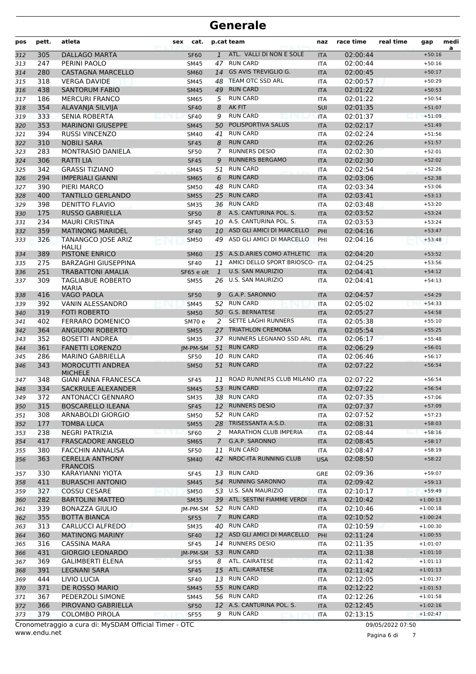| pos | pett. | atleta                                    | sex | cat.        |               | p.cat team                     | naz        | race time | real time | gap        | medi<br>a |
|-----|-------|-------------------------------------------|-----|-------------|---------------|--------------------------------|------------|-----------|-----------|------------|-----------|
| 312 | 305   | <b>DALLAGO MARTA</b>                      |     | <b>SF60</b> | $\mathbf{1}$  | ATL. VALLI DI NON E SOLE       | <b>ITA</b> | 02:00:44  |           | $+50:16$   |           |
| 313 | 247   | PERINI PAOLO                              |     | <b>SM45</b> | 47            | <b>RUN CARD</b>                | <b>ITA</b> | 02:00:44  |           | $+50:16$   |           |
| 314 | 280   | <b>CASTAGNA MARCELLO</b>                  |     | <b>SM60</b> | 14            | <b>GS AVIS TREVIGLIO G.</b>    | <b>ITA</b> | 02:00:45  |           | $+50:17$   |           |
| 315 | 318   | <b>VERGA DAVIDE</b>                       |     | SM45        | 48            | TEAM OTC SSD ARL               | <b>ITA</b> | 02:00:57  |           | $+50:29$   |           |
| 316 | 438   | <b>SANTORUM FABIO</b>                     |     | <b>SM45</b> | 49            | <b>RUN CARD</b>                | <b>ITA</b> | 02:01:22  |           | $+50:53$   |           |
| 317 | 186   | <b>MERCURI FRANCO</b>                     |     | <b>SM65</b> | 5             | <b>RUN CARD</b>                | <b>ITA</b> | 02:01:22  |           | $+50:54$   |           |
| 318 | 354   | ALAVANJA SILVIJA                          |     | <b>SF40</b> | 8             | <b>AK FIT</b>                  | <b>SUI</b> | 02:01:35  |           | $+51:07$   |           |
| 319 | 333   | <b>SENIA ROBERTA</b>                      |     | <b>SF40</b> | 9             | <b>RUN CARD</b>                | <b>ITA</b> | 02:01:37  |           | $+51:09$   |           |
| 320 | 353   | <b>MARINONI GIUSEPPE</b>                  |     | <b>SM45</b> | 50            | POLISPORTIVA SALUS             | <b>ITA</b> | 02:02:17  |           | $+51:49$   |           |
| 321 | 394   | <b>RUSSI VINCENZO</b>                     |     | SM40        | 41            | <b>RUN CARD</b>                | <b>ITA</b> | 02:02:24  |           | $+51:56$   |           |
| 322 | 310   | <b>NOBILI SARA</b>                        |     | <b>SF45</b> | 8             | <b>RUN CARD</b>                | <b>ITA</b> | 02:02:26  |           | $+51:57$   |           |
| 323 | 283   | <b>MONTRASIO DANIELA</b>                  |     | <b>SF50</b> | 7             | <b>RUNNERS DESIO</b>           | <b>ITA</b> | 02:02:30  |           | $+52:01$   |           |
| 324 | 306   | <b>RATTI LIA</b>                          |     | <b>SF45</b> | 9             | <b>RUNNERS BERGAMO</b>         | <b>ITA</b> | 02:02:30  |           | $+52:02$   |           |
| 325 | 342   | <b>GRASSI TIZIANO</b>                     |     | <b>SM45</b> | 51            | <b>RUN CARD</b>                | <b>ITA</b> | 02:02:54  |           | $+52:26$   |           |
| 326 | 294   | <b>IMPERIALI GIANNI</b>                   |     | <b>SM65</b> | 6             | <b>RUN CARD</b>                | <b>ITA</b> | 02:03:06  |           | $+52:38$   |           |
| 327 | 390   | PIERI MARCO                               |     | <b>SM50</b> | 48            | <b>RUN CARD</b>                | <b>ITA</b> | 02:03:34  |           | $+53:06$   |           |
| 328 | 400   | <b>TANTILLO GERLANDO</b>                  |     | <b>SM55</b> | 25            | <b>RUN CARD</b>                | <b>ITA</b> | 02:03:41  |           | $+53:13$   |           |
| 329 | 398   | <b>DENITTO FLAVIO</b>                     |     | <b>SM35</b> |               | 36 RUN CARD                    | <b>ITA</b> | 02:03:48  |           | $+53:20$   |           |
| 330 | 175   | <b>RUSSO GABRIELLA</b>                    |     | <b>SF50</b> | 8             | A.S. CANTURINA POL. S.         | <b>ITA</b> | 02:03:52  |           | $+53:24$   |           |
| 331 | 234   | <b>MAURI CRISTINA</b>                     |     | <b>SF45</b> |               | 10 A.S. CANTURINA POL. S.      | <b>ITA</b> | 02:03:53  |           | $+53:24$   |           |
| 332 | 359   | <b>MATINONG MARIDEL</b>                   |     | <b>SF40</b> | 10            | ASD GLI AMICI DI MARCELLO      | PHI        | 02:04:16  |           | $+53:47$   |           |
| 333 | 326   | TANANGCO JOSE ARIZ<br><b>HALILI</b>       |     | <b>SM50</b> | 49            | ASD GLI AMICI DI MARCELLO      | PHI        | 02:04:16  |           | $+53:48$   |           |
| 334 | 389   | <b>PISTONE ENRICO</b>                     |     | <b>SM60</b> | 15            | A.S.D.ARIES COMO ATHLETIC      | <b>ITA</b> | 02:04:20  |           | $+53:52$   |           |
| 335 | 275   | <b>BARZAGHI GIUSEPPINA</b>                |     | <b>SF40</b> | 11            | AMICI DELLO SPORT BRIOSCO- ITA |            | 02:04:25  |           | $+53:56$   |           |
| 336 | 251   | <b>TRABATTONI AMALIA</b>                  |     | SF65 e olt  | $\mathbf{1}$  | <b>U.S. SAN MAURIZIO</b>       | <b>ITA</b> | 02:04:41  |           | $+54:12$   |           |
| 337 | 309   | <b>TAGLIABUE ROBERTO</b><br><b>MARIA</b>  |     | <b>SM55</b> | 26            | <b>U.S. SAN MAURIZIO</b>       | <b>ITA</b> | 02:04:41  |           | $+54:13$   |           |
| 338 | 416   | <b>VAGO PAOLA</b>                         |     | <b>SF50</b> | 9             | G.A.P. SARONNO                 | <b>ITA</b> | 02:04:57  |           | $+54:29$   |           |
| 339 | 392   | VANIN ALESSANDRO                          |     | <b>SM45</b> | 52            | <b>RUN CARD</b>                | <b>ITA</b> | 02:05:02  |           | $+54:33$   |           |
| 340 | 319   | <b>FOTI ROBERTO</b>                       |     | <b>SM50</b> | 50            | <b>G.S. BERNATESE</b>          | <b>ITA</b> | 02:05:27  |           | $+54:58$   |           |
| 341 | 402   | <b>FERRARO DOMENICO</b>                   |     | SM70 e      | 2             | SETTE LAGHI RUNNERS            | <b>ITA</b> | 02:05:38  |           | $+55:10$   |           |
| 342 | 364   | <b>ANGIUONI ROBERTO</b>                   |     | <b>SM55</b> | 27            | <b>TRIATHLON CREMONA</b>       | <b>ITA</b> | 02:05:54  |           | $+55:25$   |           |
| 343 | 352   | <b>BOSETTI ANDREA</b>                     |     | <b>SM35</b> |               | 37 RUNNERS LEGNANO SSD ARL     | <b>ITA</b> | 02:06:17  |           | $+55:48$   |           |
| 344 | 361   | <b>FANETTI LORENZO</b>                    |     | IM-PM-SM    | 51            | <b>RUN CARD</b>                | <b>ITA</b> | 02:06:29  |           | $+56:01$   |           |
| 345 | 286   | <b>MARINO GABRIELLA</b>                   |     | <b>SF50</b> |               | 10 RUN CARD                    | <b>ITA</b> | 02:06:46  |           | $+56:17$   |           |
| 346 | 343   | <b>MOROCUTTI ANDREA</b><br><b>MICHELE</b> |     | <b>SM50</b> | 51            | <b>RUN CARD</b>                | <b>ITA</b> | 02:07:22  |           | $+56:54$   |           |
| 347 | 348   | <b>GIANI ANNA FRANCESCA</b>               |     | <b>SF45</b> | 11            | ROAD RUNNERS CLUB MILANO ITA   |            | 02:07:22  |           | $+56:54$   |           |
| 348 | 334   | <b>SACKRULE ALEXANDER</b>                 |     | <b>SM45</b> |               | 53 RUN CARD                    | <b>ITA</b> | 02:07:22  |           | $+56:54$   |           |
| 349 | 372   | <b>ANTONACCI GENNARO</b>                  |     | <b>SM35</b> |               | 38 RUN CARD                    | ITA        | 02:07:35  |           | $+57:06$   |           |
| 350 | 315   | <b>BOSCARELLO ILEANA</b>                  |     | <b>SF45</b> | 12            | <b>RUNNERS DESIO</b>           | <b>ITA</b> | 02:07:37  |           | $+57:09$   |           |
| 351 | 308   | ARNABOLDI GIORGIO                         |     | SM50        |               | 52 RUN CARD                    | ITA        | 02:07:52  |           | $+57:23$   |           |
| 352 | 177   | <b>TOMBA LUCA</b>                         |     | <b>SM55</b> |               | 28 TRISESSANTA A.S.D.          | <b>ITA</b> | 02:08:31  |           | $+58:03$   |           |
| 353 | 238   | NEGRI PATRIZIA                            |     | <b>SF60</b> | 2             | <b>MARATHON CLUB IMPERIA</b>   | <b>ITA</b> | 02:08:44  |           | $+58:16$   |           |
| 354 | 417   | <b>FRASCADORE ANGELO</b>                  |     | <b>SM65</b> | $\mathcal{I}$ | G.A.P. SARONNO                 | <b>ITA</b> | 02:08:45  |           | $+58:17$   |           |
| 355 | 380   | <b>FACCHIN ANNALISA</b>                   |     | <b>SF50</b> | 11            | <b>RUN CARD</b>                | ITA        | 02:08:47  |           | $+58:19$   |           |
| 356 | 363   | <b>CERELLA ANTHONY</b><br><b>FRANCOIS</b> |     | <b>SM40</b> | 42            | NRDC-ITA RUNNING CLUB          | <b>USA</b> | 02:08:50  |           | $+58:22$   |           |
| 357 | 330   | KARAYIANNI YIOTA                          |     | SF45        |               | 13 RUN CARD                    | GRE        | 02:09:36  |           | $+59:07$   |           |
| 358 | 411   | <b>BURASCHI ANTONIO</b>                   |     | <b>SM45</b> | 54            | <b>RUNNING SARONNO</b>         | <b>ITA</b> | 02:09:42  |           | $+59:13$   |           |
| 359 | 327   | <b>COSSU CESARE</b>                       |     | <b>SM50</b> |               | 53 U.S. SAN MAURIZIO           | <b>ITA</b> | 02:10:17  |           | $+59:49$   |           |
| 360 | 282   | <b>BARTOLINI MATTEO</b>                   |     | <b>SM35</b> |               | 39 ATL. SESTINI FIAMME VERDI   | <b>ITA</b> | 02:10:42  |           | $+1:00:13$ |           |
| 361 | 339   | <b>BONAZZA GIULIO</b>                     |     | JM-PM-SM    |               | 52 RUN CARD                    | ITA        | 02:10:46  |           | $+1:00:18$ |           |
| 362 | 355   | <b>BOTTA BIANCA</b>                       |     | <b>SF55</b> | $\mathcal{I}$ | <b>RUN CARD</b>                | <b>ITA</b> | 02:10:52  |           | $+1:00:24$ |           |
| 363 | 313   | CARLUCCI ALFREDO                          |     | SM35        |               | 40 RUN CARD                    | ITA        | 02:10:59  |           | $+1:00:30$ |           |
| 364 | 360   | <b>MATINONG MARINY</b>                    |     | <b>SF40</b> |               | 12 ASD GLI AMICI DI MARCELLO   | PHI        | 02:11:24  |           | $+1:00:55$ |           |
| 365 | 316   | <b>CASSINA MARA</b>                       |     | <b>SF45</b> |               | 14 RUNNERS DESIO               | ITA        | 02:11:35  |           | $+1:01:07$ |           |
| 366 | 431   | <b>GIORGIO LEONARDO</b>                   |     | JM-PM-SM    |               | 53 RUN CARD                    | <b>ITA</b> | 02:11:38  |           | $+1:01:10$ |           |
| 367 | 369   | <b>GALIMBERTI ELENA</b>                   |     | <b>SF55</b> | 8             | ATL. CAIRATESE                 | <b>ITA</b> | 02:11:42  |           | $+1:01:13$ |           |
| 368 | 391   | <b>LEGNANI SARA</b>                       |     | <b>SF45</b> | 15            | ATL. CAIRATESE                 | <b>ITA</b> | 02:11:42  |           | $+1:01:13$ |           |
| 369 | 444   | LIVIO LUCIA                               |     | <b>SF40</b> | 13            | <b>RUN CARD</b>                | ITA        | 02:12:05  |           | $+1:01:37$ |           |
| 370 | 371   | DE ROSSO MARIO                            |     | <b>SM45</b> |               | 55 RUN CARD                    | <b>ITA</b> | 02:12:22  |           | $+1:01:53$ |           |
| 371 | 367   | PEDERZOLI SIMONE                          |     | SM45        |               | 56 RUN CARD                    | <b>ITA</b> | 02:12:26  |           | $+1:01:58$ |           |
| 372 | 366   | PIROVANO GABRIELLA                        |     | <b>SF50</b> |               | 12 A.S. CANTURINA POL. S.      | <b>ITA</b> | 02:12:45  |           | $+1:02:16$ |           |
| 373 | 379   | <b>COLOMBO PIROLA</b>                     |     | <b>SF55</b> | 9             | <b>RUN CARD</b>                | <b>ITA</b> | 02:13:15  |           | $+1:02:47$ |           |

www.endu.net Cronometraggio a cura di: MySDAM Official Timer - OTC 09/05/2022 07:50

Pagina 6 di 7